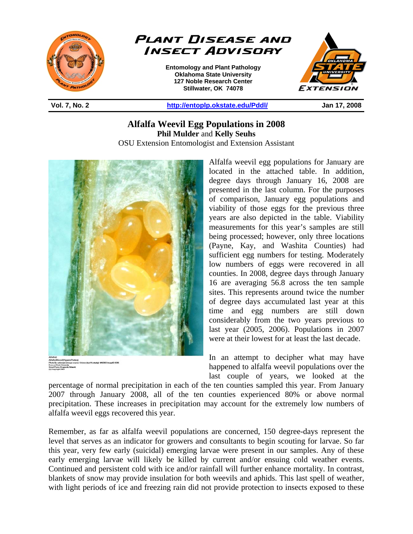



**Entomology and Plant Pathology Oklahoma State University 127 Noble Research Center Stillwater, OK 74078** 



**Vol. 7, No. 2 http://entoplp.okstate.edu/Pddl/ Jan 17, 2008** 

**Alfalfa Weevil Egg Populations in 2008 Phil Mulder** and **Kelly Seuhs** OSU Extension Entomologist and Extension Assistant

֦



Alfalfa weevil egg populations for January are located in the attached table. In addition, degree days through January 16, 2008 are presented in the last column. For the purposes of comparison, January egg populations and viability of those eggs for the previous three years are also depicted in the table. Viability measurements for this year's samples are still being processed; however, only three locations (Payne, Kay, and Washita Counties) had sufficient egg numbers for testing. Moderately low numbers of eggs were recovered in all counties. In 2008, degree days through January 16 are averaging 56.8 across the ten sample sites. This represents around twice the number of degree days accumulated last year at this time and egg numbers are still down considerably from the two years previous to last year (2005, 2006). Populations in 2007 were at their lowest for at least the last decade.

In an attempt to decipher what may have happened to alfalfa weevil populations over the last couple of years, we looked at the

percentage of normal precipitation in each of the ten counties sampled this year. From January 2007 through January 2008, all of the ten counties experienced 80% or above normal precipitation. These increases in precipitation may account for the extremely low numbers of alfalfa weevil eggs recovered this year.

Remember, as far as alfalfa weevil populations are concerned, 150 degree-days represent the level that serves as an indicator for growers and consultants to begin scouting for larvae. So far this year, very few early (suicidal) emerging larvae were present in our samples. Any of these early emerging larvae will likely be killed by current and/or ensuing cold weather events. Continued and persistent cold with ice and/or rainfall will further enhance mortality. In contrast, blankets of snow may provide insulation for both weevils and aphids. This last spell of weather, with light periods of ice and freezing rain did not provide protection to insects exposed to these